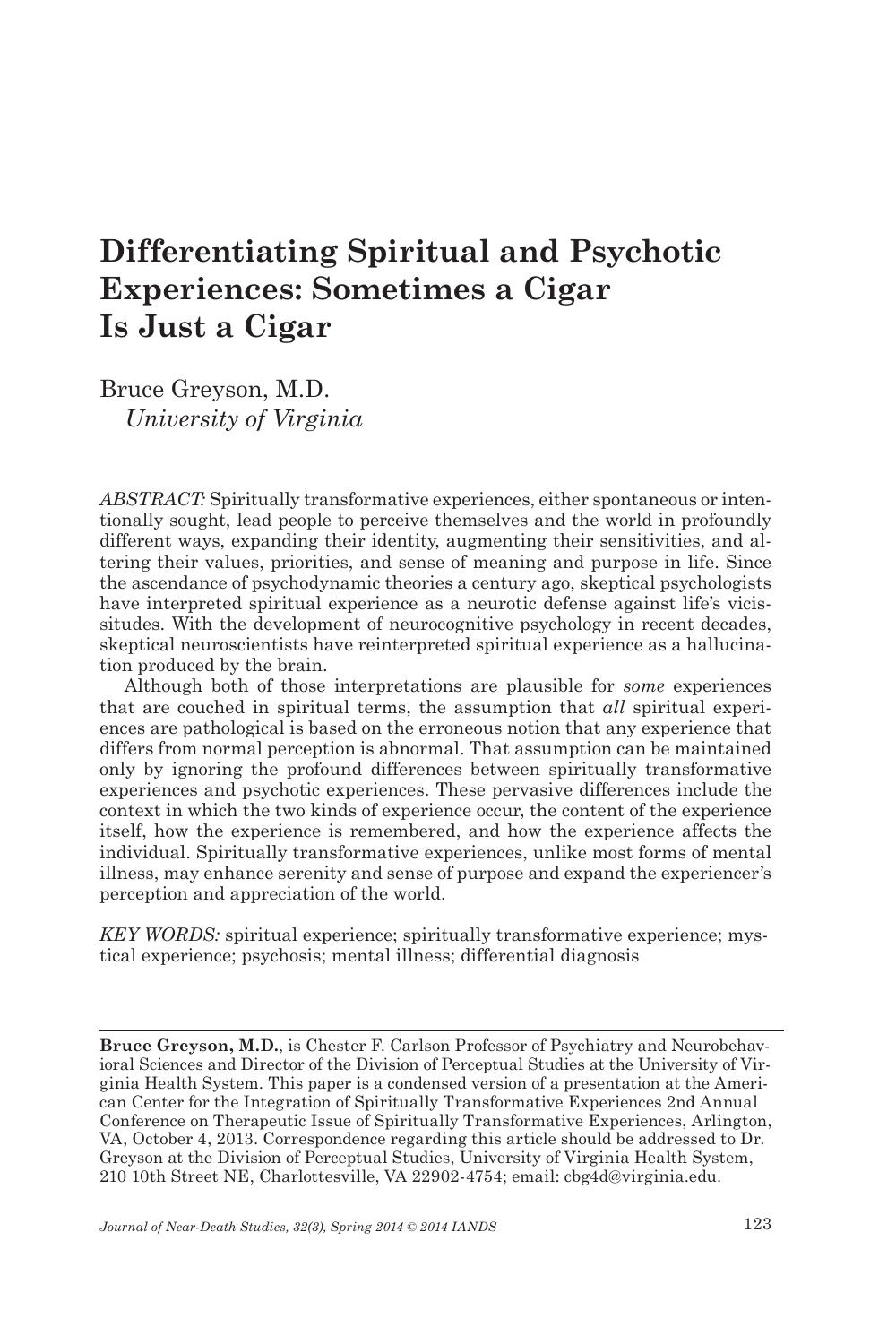## **Differentiating Spiritual and Psychotic Experiences: Sometimes a Cigar Is Just a Cigar**

Bruce Greyson, M.D. *University of Virginia*

*ABSTRACT:* Spiritually transformative experiences, either spontaneous or intentionally sought, lead people to perceive themselves and the world in profoundly different ways, expanding their identity, augmenting their sensitivities, and altering their values, priorities, and sense of meaning and purpose in life. Since the ascendance of psychodynamic theories a century ago, skeptical psychologists have interpreted spiritual experience as a neurotic defense against life's vicissitudes. With the development of neurocognitive psychology in recent decades, skeptical neuroscientists have reinterpreted spiritual experience as a hallucination produced by the brain.

Although both of those interpretations are plausible for *some* experiences that are couched in spiritual terms, the assumption that *all* spiritual experiences are pathological is based on the erroneous notion that any experience that differs from normal perception is abnormal. That assumption can be maintained only by ignoring the profound differences between spiritually transformative experiences and psychotic experiences. These pervasive differences include the context in which the two kinds of experience occur, the content of the experience itself, how the experience is remembered, and how the experience affects the individual. Spiritually transformative experiences, unlike most forms of mental illness, may enhance serenity and sense of purpose and expand the experiencer's perception and appreciation of the world.

*KEY WORDS:* spiritual experience; spiritually transformative experience; mystical experience; psychosis; mental illness; differential diagnosis

**Bruce Greyson, M.D.**, is Chester F. Carlson Professor of Psychiatry and Neurobehavioral Sciences and Director of the Division of Perceptual Studies at the University of Virginia Health System. This paper is a condensed version of a presentation at the American Center for the Integration of Spiritually Transformative Experiences 2nd Annual Conference on Therapeutic Issue of Spiritually Transformative Experiences, Arlington, VA, October 4, 2013. Correspondence regarding this article should be addressed to Dr. Greyson at the Division of Perceptual Studies, University of Virginia Health System, 210 10th Street NE, Charlottesville, VA 22902-4754; email: cbg4d@virginia.edu.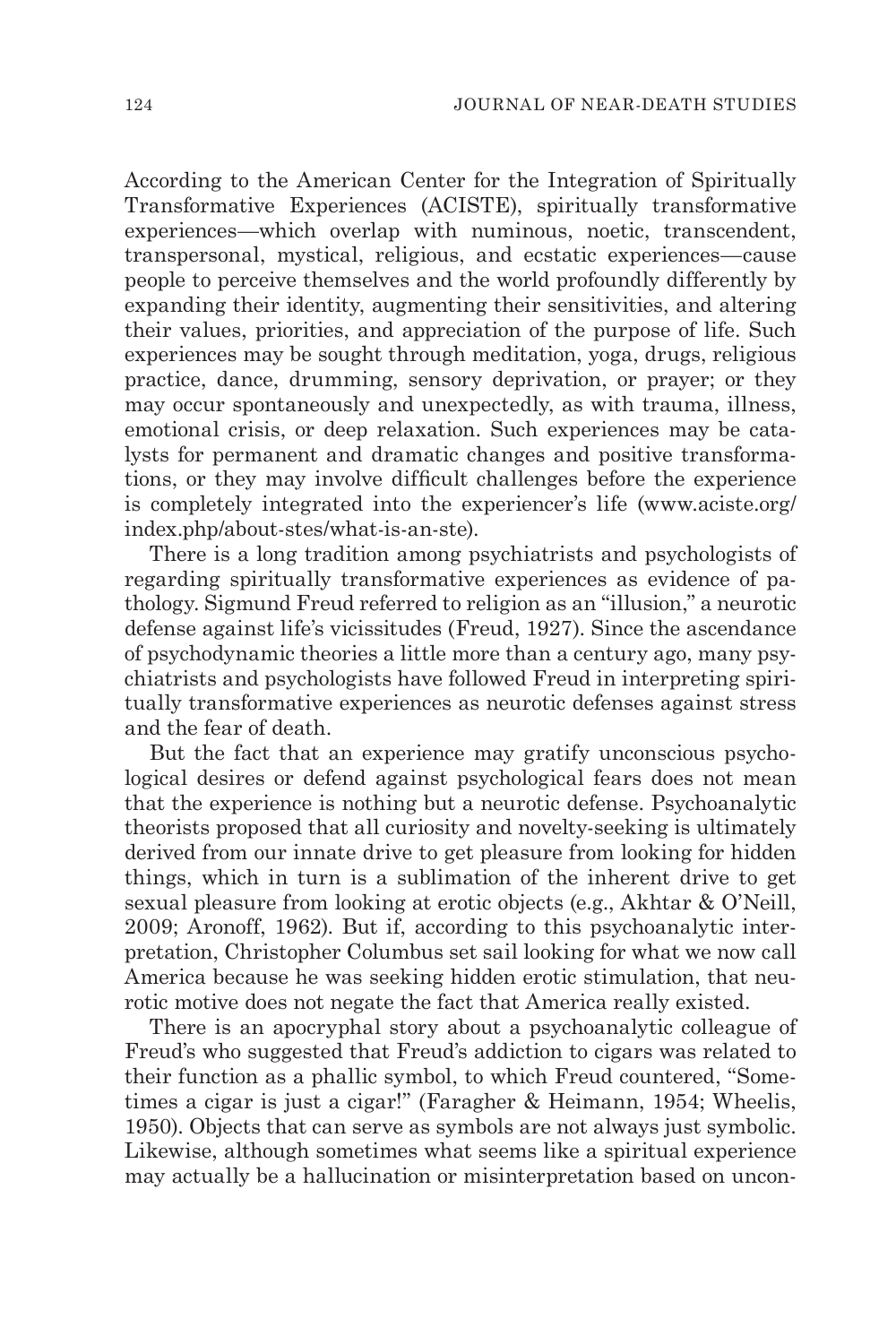According to the American Center for the Integration of Spiritually Transformative Experiences (ACISTE), spiritually transformative experiences—which overlap with numinous, noetic, transcendent, transpersonal, mystical, religious, and ecstatic experiences—cause people to perceive themselves and the world profoundly differently by expanding their identity, augmenting their sensitivities, and altering their values, priorities, and appreciation of the purpose of life. Such experiences may be sought through meditation, yoga, drugs, religious practice, dance, drumming, sensory deprivation, or prayer; or they may occur spontaneously and unexpectedly, as with trauma, illness, emotional crisis, or deep relaxation. Such experiences may be catalysts for permanent and dramatic changes and positive transformations, or they may involve difficult challenges before the experience is completely integrated into the experiencer's life (www.aciste.org/ index.php/about-stes/what-is-an-ste).

There is a long tradition among psychiatrists and psychologists of regarding spiritually transformative experiences as evidence of pathology. Sigmund Freud referred to religion as an "illusion," a neurotic defense against life's vicissitudes (Freud, 1927). Since the ascendance of psychodynamic theories a little more than a century ago, many psychiatrists and psychologists have followed Freud in interpreting spiritually transformative experiences as neurotic defenses against stress and the fear of death.

But the fact that an experience may gratify unconscious psychological desires or defend against psychological fears does not mean that the experience is nothing but a neurotic defense. Psychoanalytic theorists proposed that all curiosity and novelty-seeking is ultimately derived from our innate drive to get pleasure from looking for hidden things, which in turn is a sublimation of the inherent drive to get sexual pleasure from looking at erotic objects (e.g., Akhtar & O'Neill, 2009; Aronoff, 1962). But if, according to this psychoanalytic interpretation, Christopher Columbus set sail looking for what we now call America because he was seeking hidden erotic stimulation, that neurotic motive does not negate the fact that America really existed.

There is an apocryphal story about a psychoanalytic colleague of Freud's who suggested that Freud's addiction to cigars was related to their function as a phallic symbol, to which Freud countered, "Sometimes a cigar is just a cigar!" (Faragher & Heimann, 1954; Wheelis, 1950). Objects that can serve as symbols are not always just symbolic. Likewise, although sometimes what seems like a spiritual experience may actually be a hallucination or misinterpretation based on uncon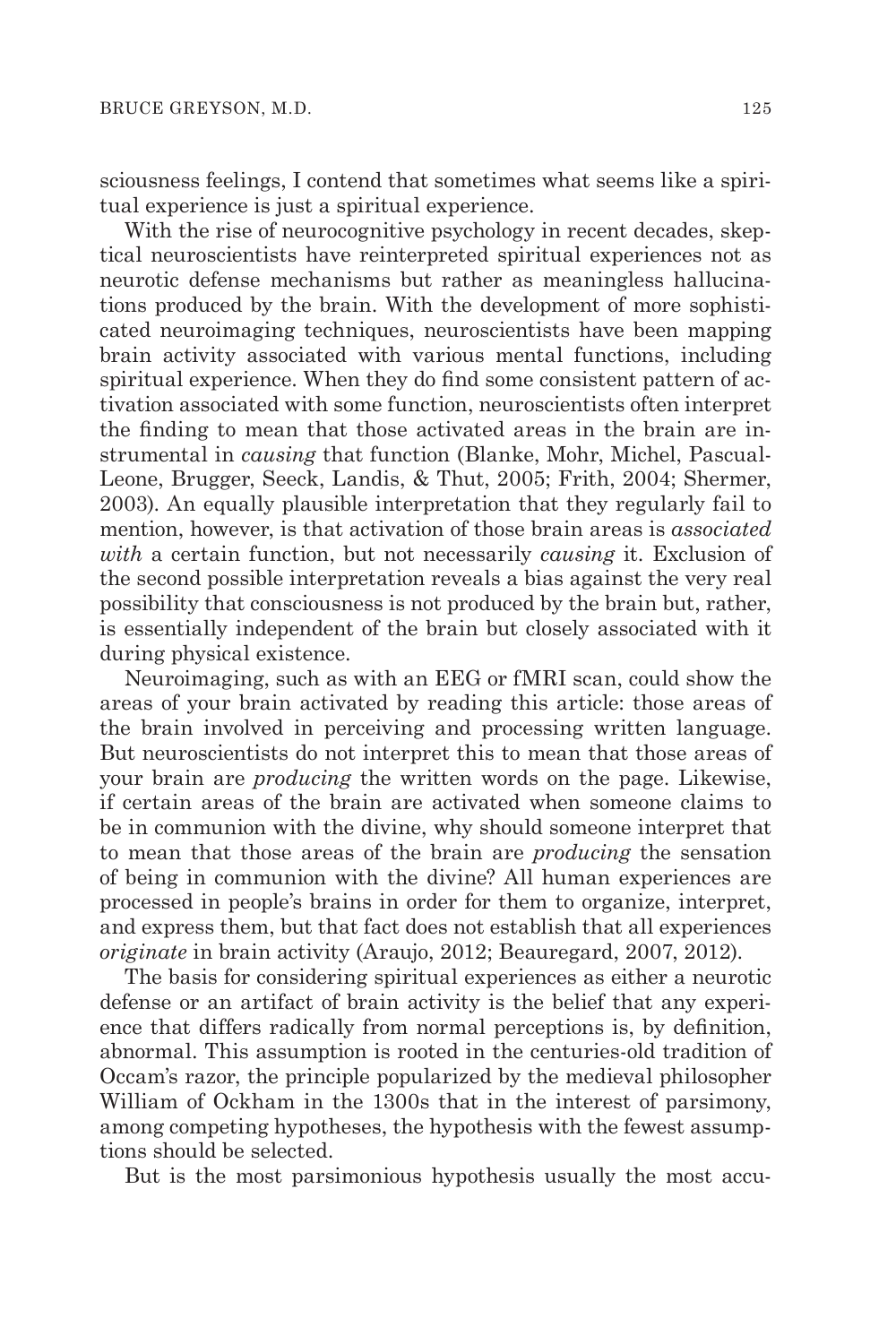sciousness feelings, I contend that sometimes what seems like a spiritual experience is just a spiritual experience.

With the rise of neurocognitive psychology in recent decades, skeptical neuroscientists have reinterpreted spiritual experiences not as neurotic defense mechanisms but rather as meaningless hallucinations produced by the brain. With the development of more sophisticated neuroimaging techniques, neuroscientists have been mapping brain activity associated with various mental functions, including spiritual experience. When they do find some consistent pattern of activation associated with some function, neuroscientists often interpret the finding to mean that those activated areas in the brain are instrumental in *causing* that function (Blanke, Mohr, Michel, Pascual-Leone, Brugger, Seeck, Landis, & Thut, 2005; Frith, 2004; Shermer, 2003). An equally plausible interpretation that they regularly fail to mention, however, is that activation of those brain areas is *associated with* a certain function, but not necessarily *causing* it. Exclusion of the second possible interpretation reveals a bias against the very real possibility that consciousness is not produced by the brain but, rather, is essentially independent of the brain but closely associated with it during physical existence.

Neuroimaging, such as with an EEG or fMRI scan, could show the areas of your brain activated by reading this article: those areas of the brain involved in perceiving and processing written language. But neuroscientists do not interpret this to mean that those areas of your brain are *producing* the written words on the page. Likewise, if certain areas of the brain are activated when someone claims to be in communion with the divine, why should someone interpret that to mean that those areas of the brain are *producing* the sensation of being in communion with the divine? All human experiences are processed in people's brains in order for them to organize, interpret, and express them, but that fact does not establish that all experiences *originate* in brain activity (Araujo, 2012; Beauregard, 2007, 2012).

The basis for considering spiritual experiences as either a neurotic defense or an artifact of brain activity is the belief that any experience that differs radically from normal perceptions is, by definition, abnormal. This assumption is rooted in the centuries-old tradition of Occam's razor, the principle popularized by the medieval philosopher William of Ockham in the 1300s that in the interest of parsimony, among competing hypotheses, the hypothesis with the fewest assumptions should be selected.

But is the most parsimonious hypothesis usually the most accu-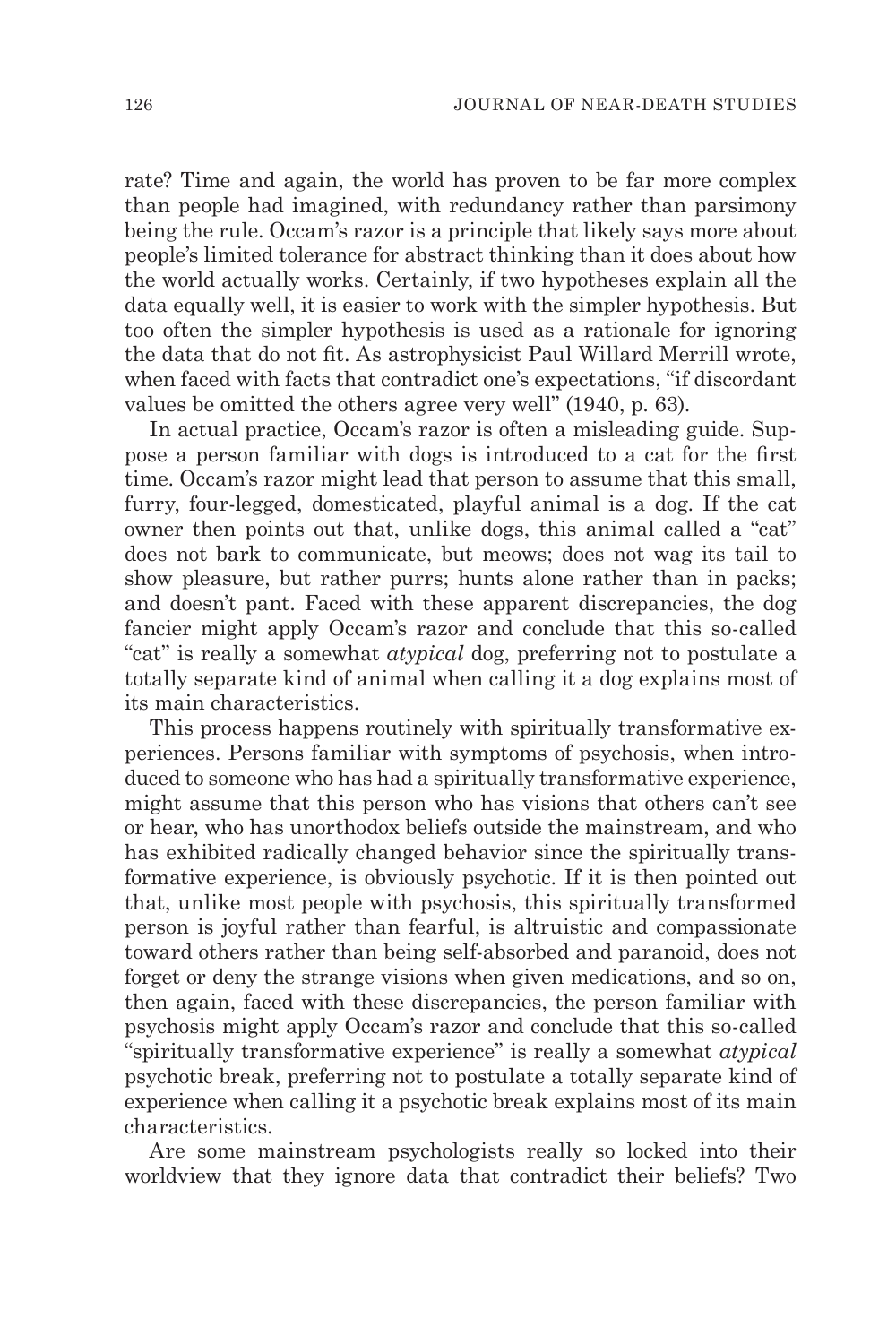rate? Time and again, the world has proven to be far more complex than people had imagined, with redundancy rather than parsimony being the rule. Occam's razor is a principle that likely says more about people's limited tolerance for abstract thinking than it does about how the world actually works. Certainly, if two hypotheses explain all the data equally well, it is easier to work with the simpler hypothesis. But too often the simpler hypothesis is used as a rationale for ignoring the data that do not fit. As astrophysicist Paul Willard Merrill wrote, when faced with facts that contradict one's expectations, "if discordant values be omitted the others agree very well" (1940, p. 63).

In actual practice, Occam's razor is often a misleading guide. Suppose a person familiar with dogs is introduced to a cat for the first time. Occam's razor might lead that person to assume that this small, furry, four-legged, domesticated, playful animal is a dog. If the cat owner then points out that, unlike dogs, this animal called a "cat" does not bark to communicate, but meows; does not wag its tail to show pleasure, but rather purrs; hunts alone rather than in packs; and doesn't pant. Faced with these apparent discrepancies, the dog fancier might apply Occam's razor and conclude that this so-called "cat" is really a somewhat *atypical* dog, preferring not to postulate a totally separate kind of animal when calling it a dog explains most of its main characteristics.

This process happens routinely with spiritually transformative experiences. Persons familiar with symptoms of psychosis, when introduced to someone who has had a spiritually transformative experience, might assume that this person who has visions that others can't see or hear, who has unorthodox beliefs outside the mainstream, and who has exhibited radically changed behavior since the spiritually transformative experience, is obviously psychotic. If it is then pointed out that, unlike most people with psychosis, this spiritually transformed person is joyful rather than fearful, is altruistic and compassionate toward others rather than being self-absorbed and paranoid, does not forget or deny the strange visions when given medications, and so on, then again, faced with these discrepancies, the person familiar with psychosis might apply Occam's razor and conclude that this so-called "spiritually transformative experience" is really a somewhat *atypical* psychotic break, preferring not to postulate a totally separate kind of experience when calling it a psychotic break explains most of its main characteristics.

Are some mainstream psychologists really so locked into their worldview that they ignore data that contradict their beliefs? Two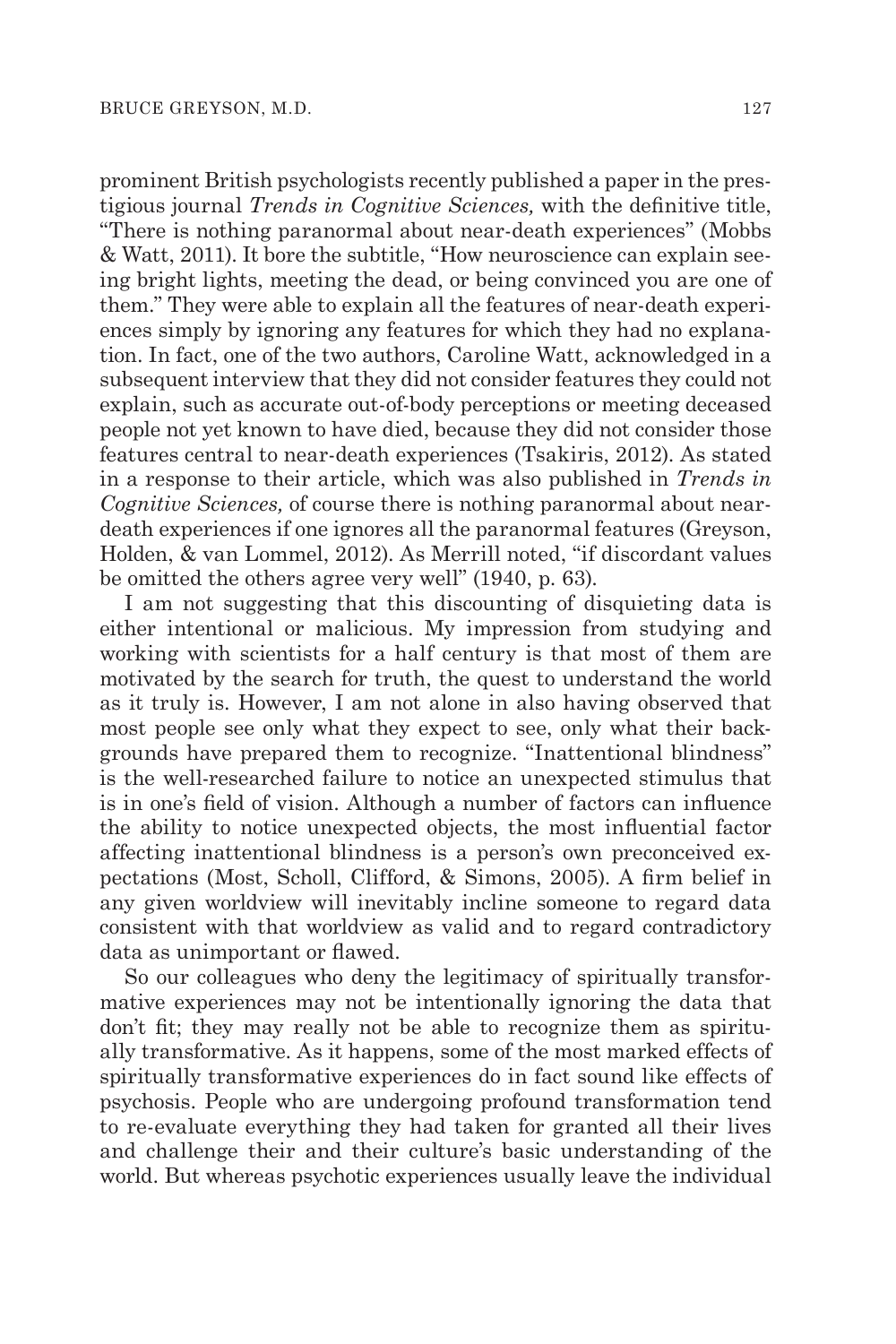prominent British psychologists recently published a paper in the prestigious journal *Trends in Cognitive Sciences,* with the definitive title, "There is nothing paranormal about near-death experiences" (Mobbs & Watt, 2011). It bore the subtitle, "How neuroscience can explain seeing bright lights, meeting the dead, or being convinced you are one of them." They were able to explain all the features of near-death experiences simply by ignoring any features for which they had no explanation. In fact, one of the two authors, Caroline Watt, acknowledged in a subsequent interview that they did not consider features they could not explain, such as accurate out-of-body perceptions or meeting deceased people not yet known to have died, because they did not consider those features central to near-death experiences (Tsakiris, 2012). As stated in a response to their article, which was also published in *Trends in Cognitive Sciences,* of course there is nothing paranormal about neardeath experiences if one ignores all the paranormal features (Greyson, Holden, & van Lommel, 2012). As Merrill noted, "if discordant values be omitted the others agree very well" (1940, p. 63).

I am not suggesting that this discounting of disquieting data is either intentional or malicious. My impression from studying and working with scientists for a half century is that most of them are motivated by the search for truth, the quest to understand the world as it truly is. However, I am not alone in also having observed that most people see only what they expect to see, only what their backgrounds have prepared them to recognize. "Inattentional blindness" is the well-researched failure to notice an unexpected stimulus that is in one's field of vision. Although a number of factors can influence the ability to notice unexpected objects, the most influential factor affecting inattentional blindness is a person's own preconceived expectations (Most, Scholl, Clifford, & Simons, 2005). A firm belief in any given worldview will inevitably incline someone to regard data consistent with that worldview as valid and to regard contradictory data as unimportant or flawed.

So our colleagues who deny the legitimacy of spiritually transformative experiences may not be intentionally ignoring the data that don't fit; they may really not be able to recognize them as spiritually transformative. As it happens, some of the most marked effects of spiritually transformative experiences do in fact sound like effects of psychosis. People who are undergoing profound transformation tend to re-evaluate everything they had taken for granted all their lives and challenge their and their culture's basic understanding of the world. But whereas psychotic experiences usually leave the individual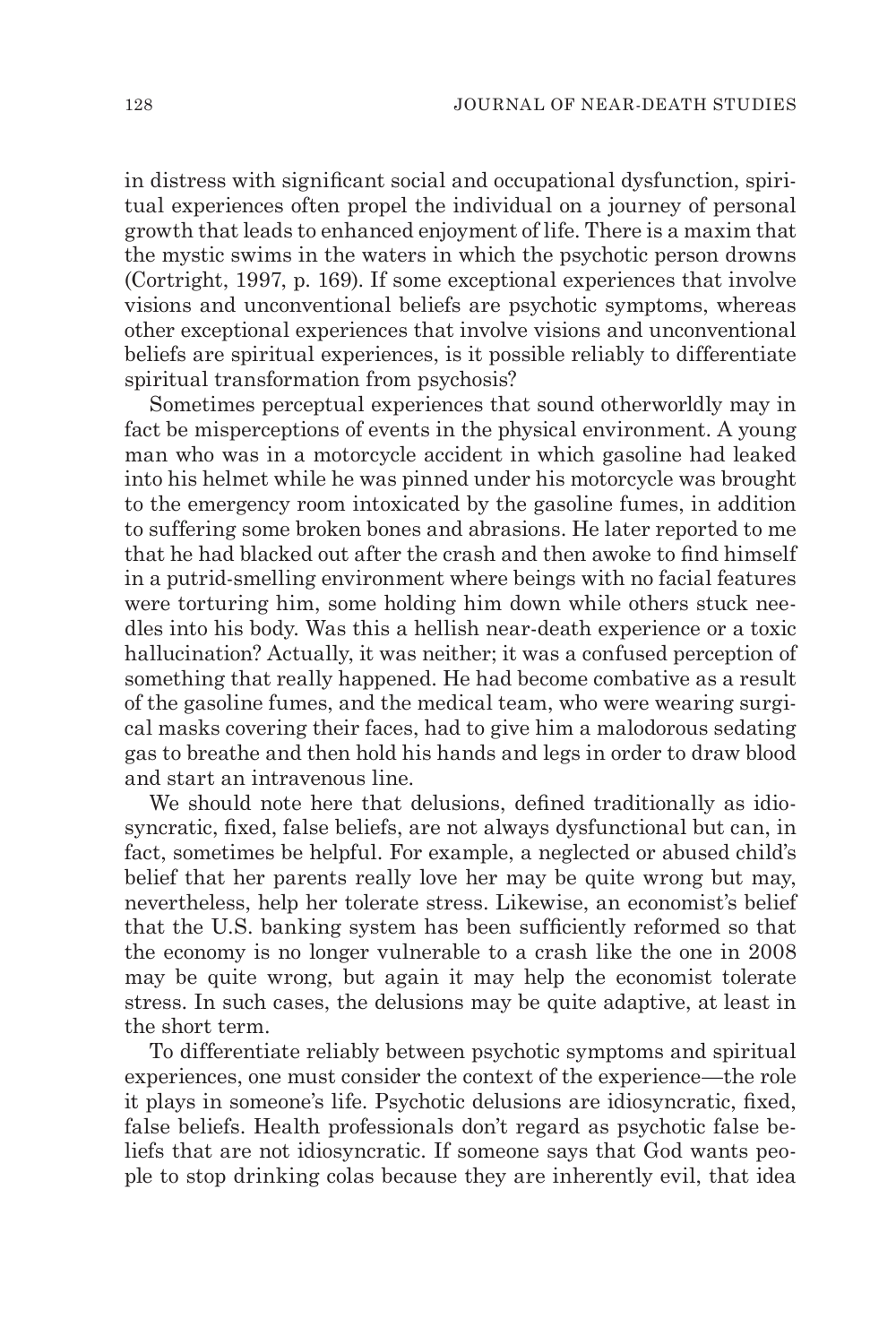in distress with significant social and occupational dysfunction, spiritual experiences often propel the individual on a journey of personal growth that leads to enhanced enjoyment of life. There is a maxim that the mystic swims in the waters in which the psychotic person drowns (Cortright, 1997, p. 169). If some exceptional experiences that involve visions and unconventional beliefs are psychotic symptoms, whereas other exceptional experiences that involve visions and unconventional beliefs are spiritual experiences, is it possible reliably to differentiate spiritual transformation from psychosis?

Sometimes perceptual experiences that sound otherworldly may in fact be misperceptions of events in the physical environment. A young man who was in a motorcycle accident in which gasoline had leaked into his helmet while he was pinned under his motorcycle was brought to the emergency room intoxicated by the gasoline fumes, in addition to suffering some broken bones and abrasions. He later reported to me that he had blacked out after the crash and then awoke to find himself in a putrid-smelling environment where beings with no facial features were torturing him, some holding him down while others stuck needles into his body. Was this a hellish near-death experience or a toxic hallucination? Actually, it was neither; it was a confused perception of something that really happened. He had become combative as a result of the gasoline fumes, and the medical team, who were wearing surgical masks covering their faces, had to give him a malodorous sedating gas to breathe and then hold his hands and legs in order to draw blood and start an intravenous line.

We should note here that delusions, defined traditionally as idiosyncratic, fixed, false beliefs, are not always dysfunctional but can, in fact, sometimes be helpful. For example, a neglected or abused child's belief that her parents really love her may be quite wrong but may, nevertheless, help her tolerate stress. Likewise, an economist's belief that the U.S. banking system has been sufficiently reformed so that the economy is no longer vulnerable to a crash like the one in 2008 may be quite wrong, but again it may help the economist tolerate stress. In such cases, the delusions may be quite adaptive, at least in the short term.

To differentiate reliably between psychotic symptoms and spiritual experiences, one must consider the context of the experience—the role it plays in someone's life. Psychotic delusions are idiosyncratic, fixed, false beliefs. Health professionals don't regard as psychotic false beliefs that are not idiosyncratic. If someone says that God wants people to stop drinking colas because they are inherently evil, that idea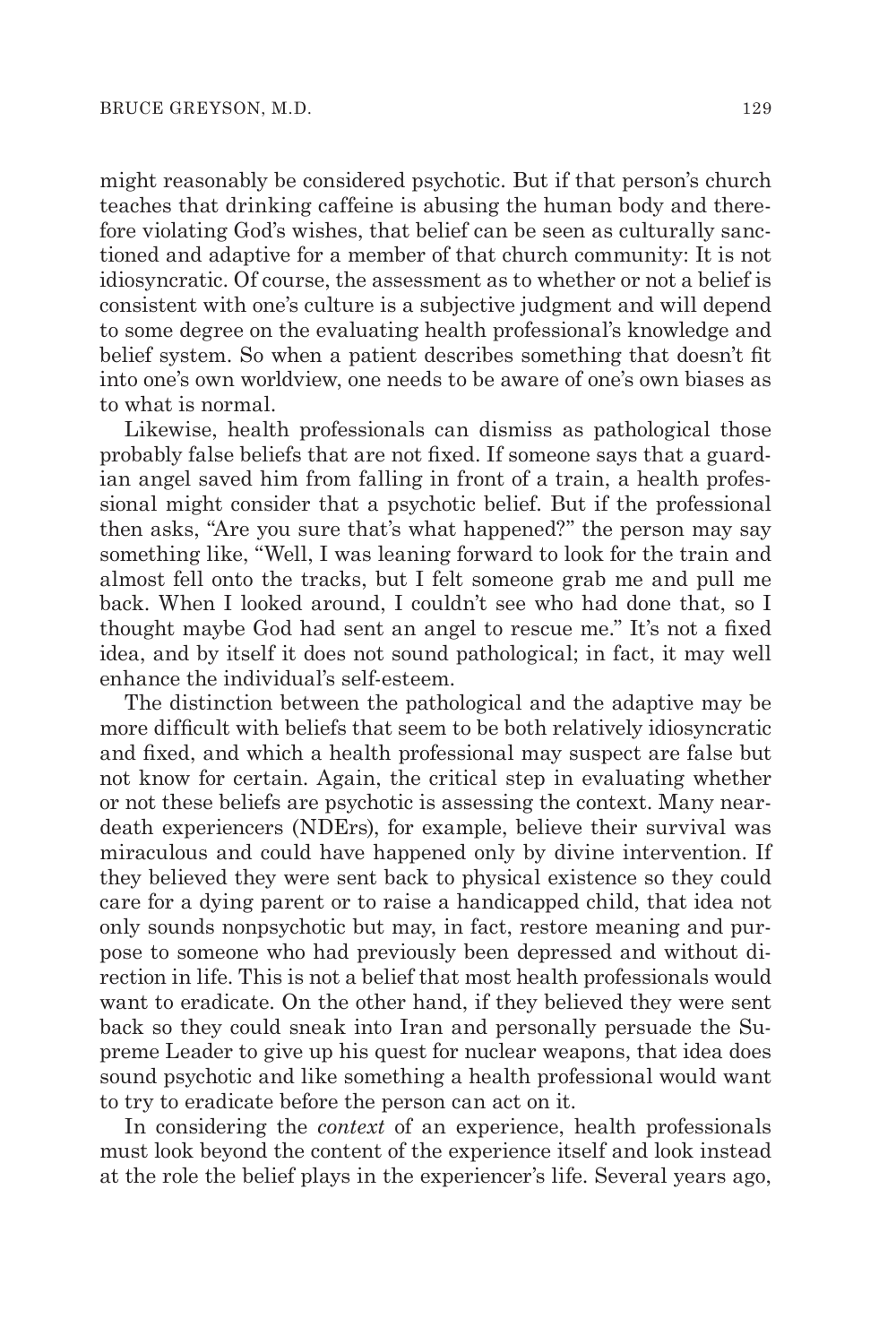might reasonably be considered psychotic. But if that person's church teaches that drinking caffeine is abusing the human body and therefore violating God's wishes, that belief can be seen as culturally sanctioned and adaptive for a member of that church community: It is not idiosyncratic. Of course, the assessment as to whether or not a belief is consistent with one's culture is a subjective judgment and will depend to some degree on the evaluating health professional's knowledge and belief system. So when a patient describes something that doesn't fit into one's own worldview, one needs to be aware of one's own biases as to what is normal.

Likewise, health professionals can dismiss as pathological those probably false beliefs that are not fixed. If someone says that a guardian angel saved him from falling in front of a train, a health professional might consider that a psychotic belief. But if the professional then asks, "Are you sure that's what happened?" the person may say something like, "Well, I was leaning forward to look for the train and almost fell onto the tracks, but I felt someone grab me and pull me back. When I looked around, I couldn't see who had done that, so I thought maybe God had sent an angel to rescue me." It's not a fixed idea, and by itself it does not sound pathological; in fact, it may well enhance the individual's self-esteem.

The distinction between the pathological and the adaptive may be more difficult with beliefs that seem to be both relatively idiosyncratic and fixed, and which a health professional may suspect are false but not know for certain. Again, the critical step in evaluating whether or not these beliefs are psychotic is assessing the context. Many neardeath experiencers (NDErs), for example, believe their survival was miraculous and could have happened only by divine intervention. If they believed they were sent back to physical existence so they could care for a dying parent or to raise a handicapped child, that idea not only sounds nonpsychotic but may, in fact, restore meaning and purpose to someone who had previously been depressed and without direction in life. This is not a belief that most health professionals would want to eradicate. On the other hand, if they believed they were sent back so they could sneak into Iran and personally persuade the Supreme Leader to give up his quest for nuclear weapons, that idea does sound psychotic and like something a health professional would want to try to eradicate before the person can act on it.

In considering the *context* of an experience, health professionals must look beyond the content of the experience itself and look instead at the role the belief plays in the experiencer's life. Several years ago,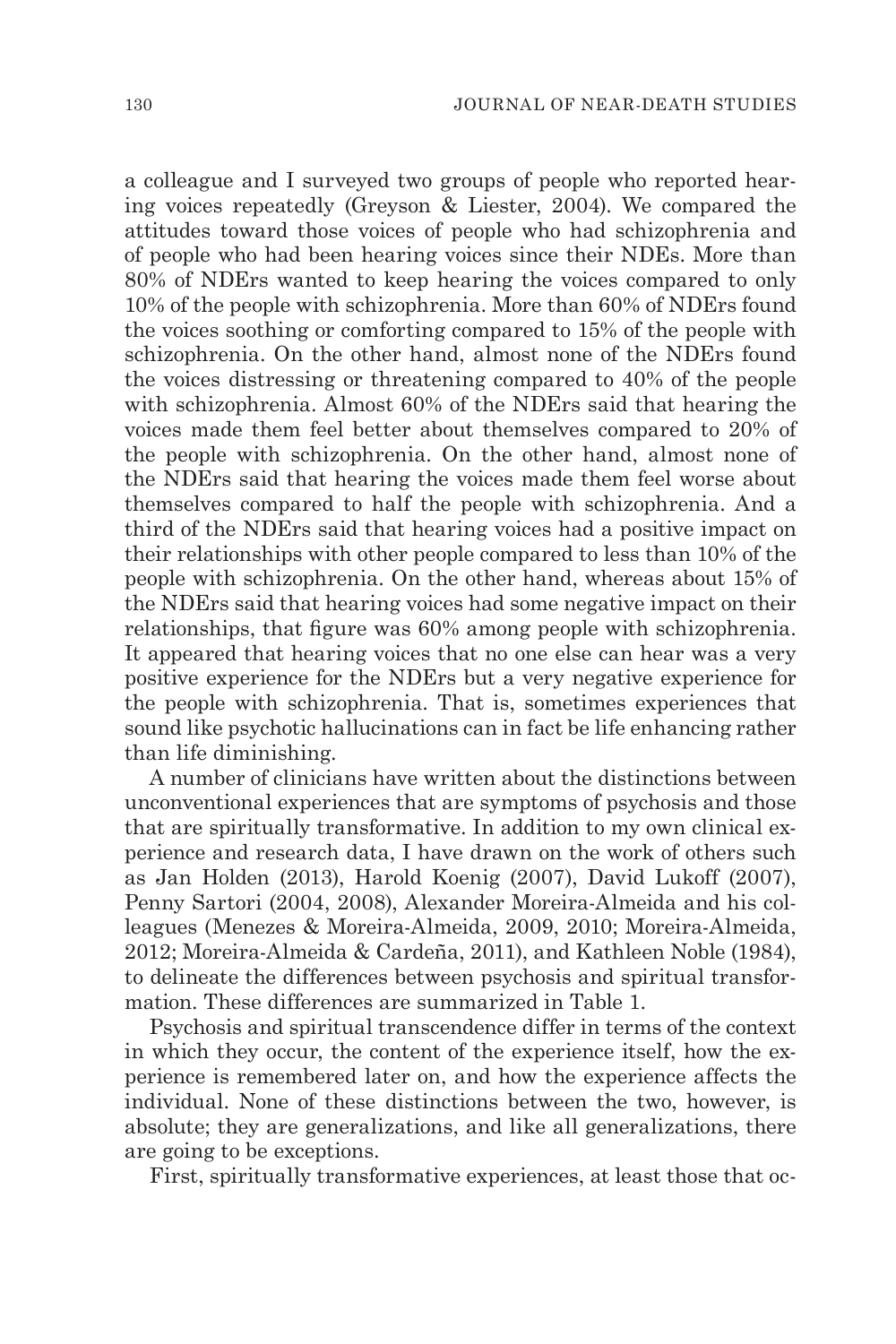a colleague and I surveyed two groups of people who reported hearing voices repeatedly (Greyson & Liester, 2004). We compared the attitudes toward those voices of people who had schizophrenia and of people who had been hearing voices since their NDEs. More than 80% of NDErs wanted to keep hearing the voices compared to only 10% of the people with schizophrenia. More than 60% of NDErs found the voices soothing or comforting compared to 15% of the people with schizophrenia. On the other hand, almost none of the NDErs found the voices distressing or threatening compared to 40% of the people with schizophrenia. Almost 60% of the NDErs said that hearing the voices made them feel better about themselves compared to 20% of the people with schizophrenia. On the other hand, almost none of the NDErs said that hearing the voices made them feel worse about themselves compared to half the people with schizophrenia. And a third of the NDErs said that hearing voices had a positive impact on their relationships with other people compared to less than 10% of the people with schizophrenia. On the other hand, whereas about 15% of the NDErs said that hearing voices had some negative impact on their relationships, that figure was 60% among people with schizophrenia. It appeared that hearing voices that no one else can hear was a very positive experience for the NDErs but a very negative experience for the people with schizophrenia. That is, sometimes experiences that sound like psychotic hallucinations can in fact be life enhancing rather than life diminishing.

A number of clinicians have written about the distinctions between unconventional experiences that are symptoms of psychosis and those that are spiritually transformative. In addition to my own clinical experience and research data, I have drawn on the work of others such as Jan Holden (2013), Harold Koenig (2007), David Lukoff (2007), Penny Sartori (2004, 2008), Alexander Moreira-Almeida and his colleagues (Menezes & Moreira-Almeida, 2009, 2010; Moreira-Almeida, 2012; Moreira-Almeida & Cardeña, 2011), and Kathleen Noble (1984), to delineate the differences between psychosis and spiritual transformation. These differences are summarized in Table 1.

Psychosis and spiritual transcendence differ in terms of the context in which they occur, the content of the experience itself, how the experience is remembered later on, and how the experience affects the individual. None of these distinctions between the two, however, is absolute; they are generalizations, and like all generalizations, there are going to be exceptions.

First, spiritually transformative experiences, at least those that oc-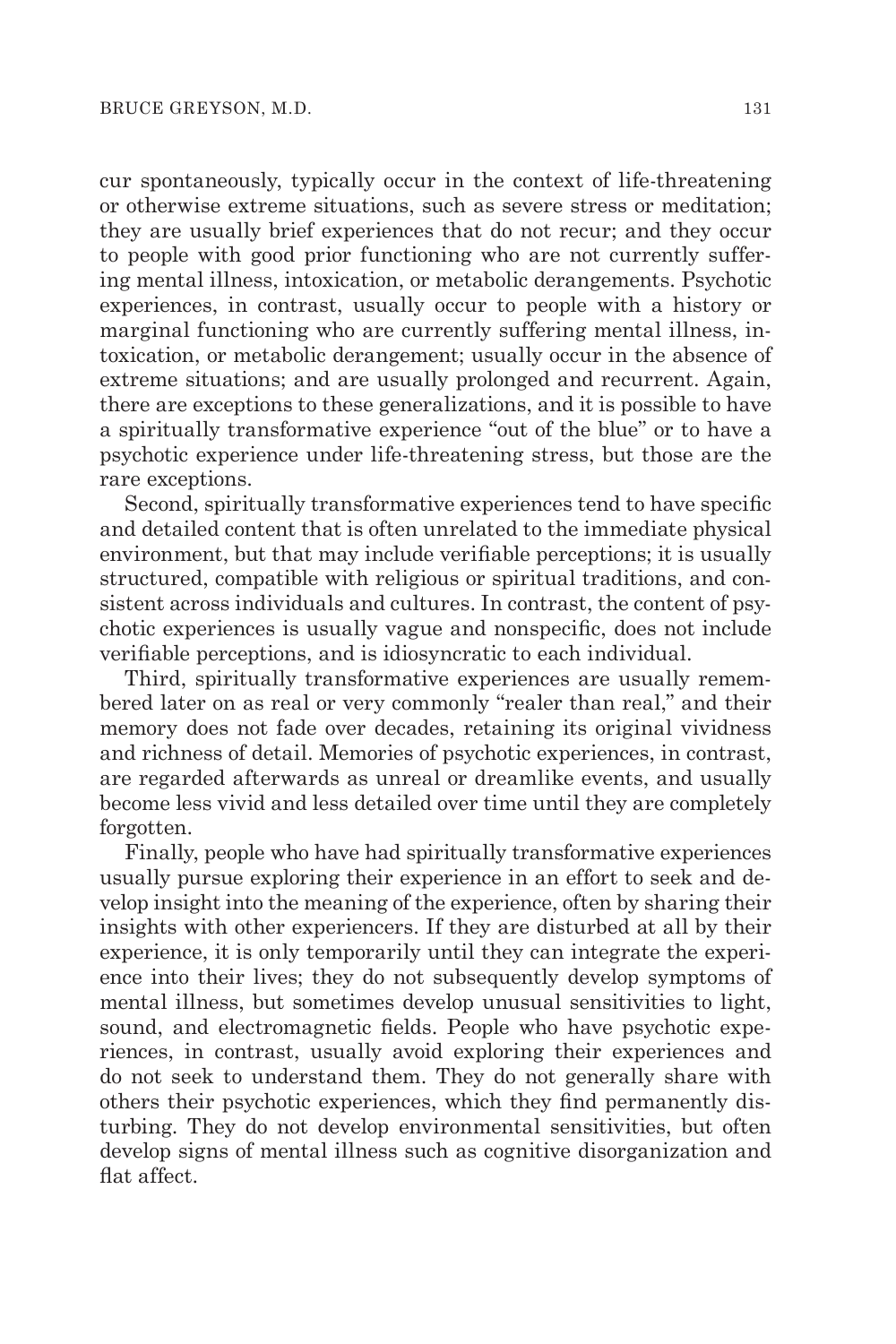cur spontaneously, typically occur in the context of life-threatening or otherwise extreme situations, such as severe stress or meditation; they are usually brief experiences that do not recur; and they occur to people with good prior functioning who are not currently suffering mental illness, intoxication, or metabolic derangements. Psychotic experiences, in contrast, usually occur to people with a history or marginal functioning who are currently suffering mental illness, intoxication, or metabolic derangement; usually occur in the absence of extreme situations; and are usually prolonged and recurrent. Again, there are exceptions to these generalizations, and it is possible to have a spiritually transformative experience "out of the blue" or to have a psychotic experience under life-threatening stress, but those are the rare exceptions.

Second, spiritually transformative experiences tend to have specific and detailed content that is often unrelated to the immediate physical environment, but that may include verifiable perceptions; it is usually structured, compatible with religious or spiritual traditions, and consistent across individuals and cultures. In contrast, the content of psychotic experiences is usually vague and nonspecific, does not include verifiable perceptions, and is idiosyncratic to each individual.

Third, spiritually transformative experiences are usually remembered later on as real or very commonly "realer than real," and their memory does not fade over decades, retaining its original vividness and richness of detail. Memories of psychotic experiences, in contrast, are regarded afterwards as unreal or dreamlike events, and usually become less vivid and less detailed over time until they are completely forgotten.

Finally, people who have had spiritually transformative experiences usually pursue exploring their experience in an effort to seek and develop insight into the meaning of the experience, often by sharing their insights with other experiencers. If they are disturbed at all by their experience, it is only temporarily until they can integrate the experience into their lives; they do not subsequently develop symptoms of mental illness, but sometimes develop unusual sensitivities to light, sound, and electromagnetic fields. People who have psychotic experiences, in contrast, usually avoid exploring their experiences and do not seek to understand them. They do not generally share with others their psychotic experiences, which they find permanently disturbing. They do not develop environmental sensitivities, but often develop signs of mental illness such as cognitive disorganization and flat affect.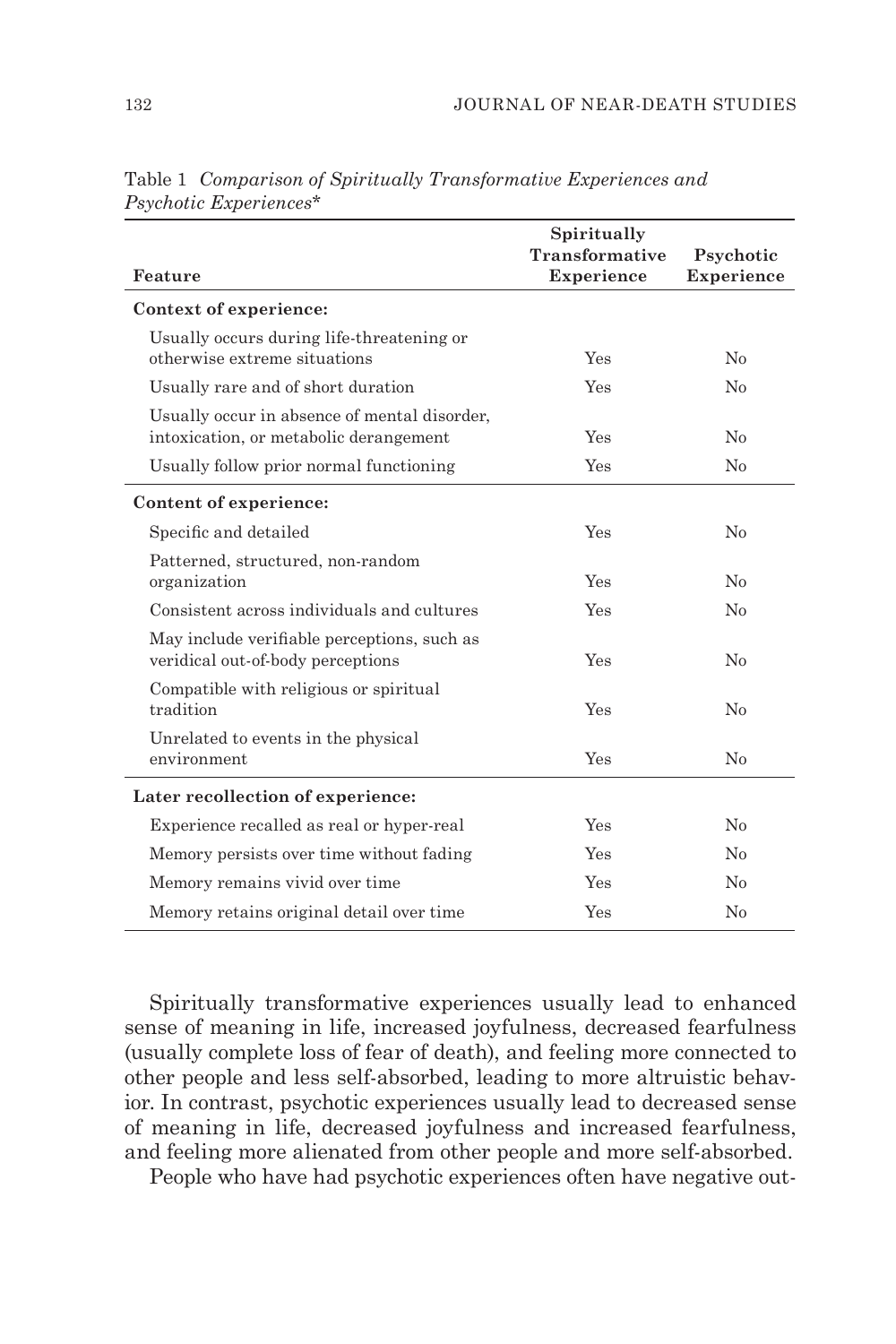| Feature                                                                                | Spiritually<br><b>Transformative</b><br><b>Experience</b> | Psychotic<br><b>Experience</b> |
|----------------------------------------------------------------------------------------|-----------------------------------------------------------|--------------------------------|
| Context of experience:                                                                 |                                                           |                                |
| Usually occurs during life-threatening or<br>otherwise extreme situations              | Yes                                                       | No                             |
| Usually rare and of short duration                                                     | Yes                                                       | No                             |
| Usually occur in absence of mental disorder,<br>intoxication, or metabolic derangement | Yes                                                       | No                             |
| Usually follow prior normal functioning                                                | Yes                                                       | No                             |
| Content of experience:                                                                 |                                                           |                                |
| Specific and detailed                                                                  | Yes                                                       | $\rm No$                       |
| Patterned, structured, non-random<br>organization                                      | Yes                                                       | No                             |
| Consistent across individuals and cultures                                             | Yes                                                       | No                             |
| May include verifiable perceptions, such as<br>veridical out-of-body perceptions       | Yes                                                       | No                             |
| Compatible with religious or spiritual<br>tradition                                    | Yes                                                       | No                             |
| Unrelated to events in the physical<br>environment                                     | Yes                                                       | $\rm No$                       |
| Later recollection of experience:                                                      |                                                           |                                |
| Experience recalled as real or hyper-real                                              | Yes                                                       | No                             |
| Memory persists over time without fading                                               | Yes                                                       | No                             |
| Memory remains vivid over time                                                         | Yes                                                       | No                             |
| Memory retains original detail over time                                               | Yes                                                       | No                             |

Table 1 *Comparison of Spiritually Transformative Experiences and Psychotic Experiences\**

Spiritually transformative experiences usually lead to enhanced sense of meaning in life, increased joyfulness, decreased fearfulness (usually complete loss of fear of death), and feeling more connected to other people and less self-absorbed, leading to more altruistic behavior. In contrast, psychotic experiences usually lead to decreased sense of meaning in life, decreased joyfulness and increased fearfulness, and feeling more alienated from other people and more self-absorbed.

People who have had psychotic experiences often have negative out-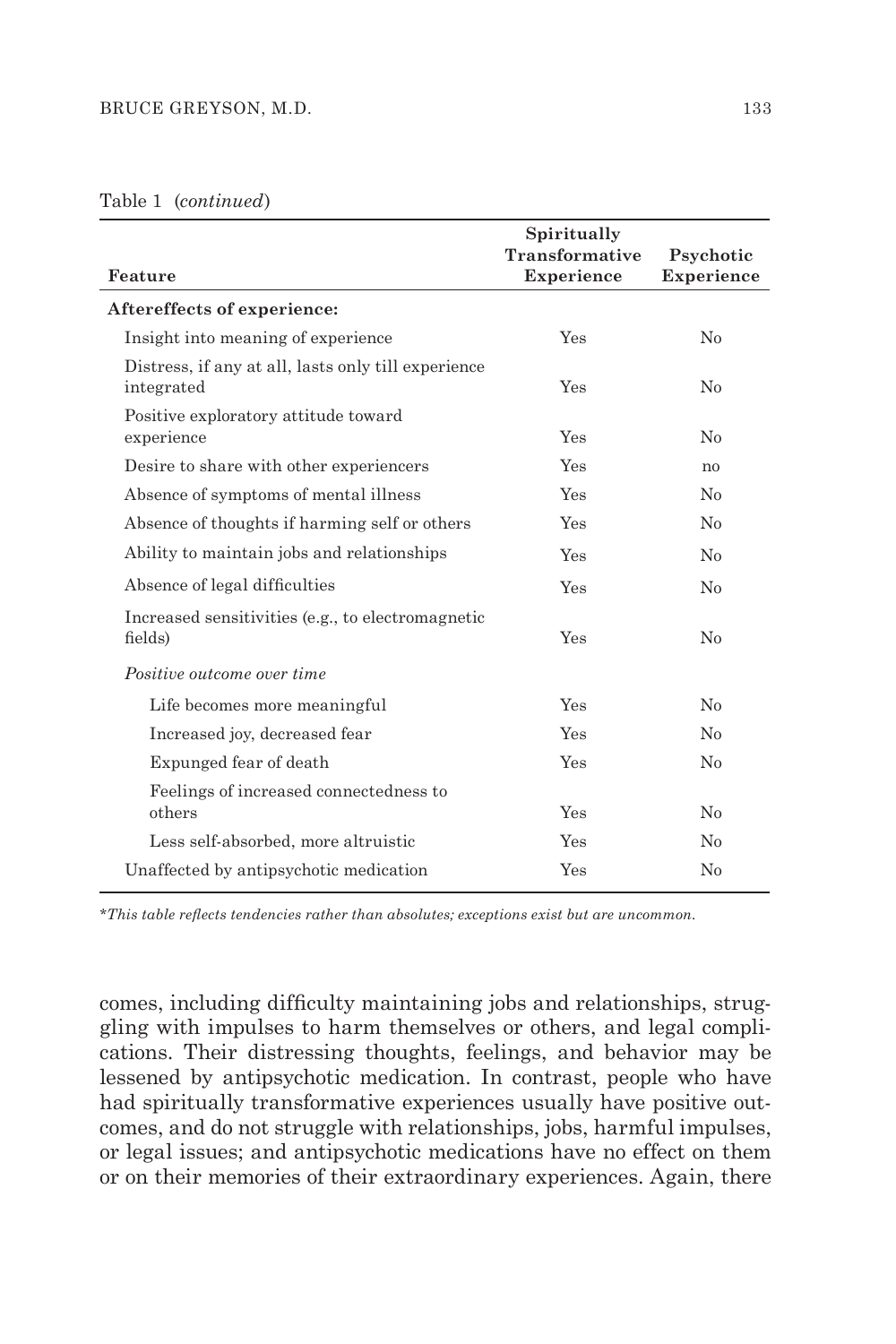## Table 1 (*continued*)

| Feature                                                           | Spiritually<br>Transformative<br><b>Experience</b> | Psychotic<br><b>Experience</b> |
|-------------------------------------------------------------------|----------------------------------------------------|--------------------------------|
| Aftereffects of experience:                                       |                                                    |                                |
| Insight into meaning of experience                                | Yes                                                | No                             |
| Distress, if any at all, lasts only till experience<br>integrated | Yes                                                | No                             |
| Positive exploratory attitude toward<br>experience                | Yes                                                | No                             |
| Desire to share with other experiencers                           | Yes                                                | no                             |
| Absence of symptoms of mental illness                             | Yes                                                | No                             |
| Absence of thoughts if harming self or others                     | Yes                                                | No                             |
| Ability to maintain jobs and relationships                        | Yes                                                | No                             |
| Absence of legal difficulties                                     | Yes                                                | No                             |
| Increased sensitivities (e.g., to electromagnetic<br>fields)      | Yes                                                | No                             |
| Positive outcome over time                                        |                                                    |                                |
| Life becomes more meaningful                                      | Yes                                                | No                             |
| Increased joy, decreased fear                                     | Yes                                                | No                             |
| Expunged fear of death                                            | Yes                                                | No                             |
| Feelings of increased connectedness to<br>others                  | Yes                                                | No                             |
| Less self-absorbed, more altruistic                               | Yes                                                | No                             |
| Unaffected by antipsychotic medication                            | Yes                                                | $\rm No$                       |

*\*This table reflects tendencies rather than absolutes; exceptions exist but are uncommon.*

comes, including difficulty maintaining jobs and relationships, struggling with impulses to harm themselves or others, and legal complications. Their distressing thoughts, feelings, and behavior may be lessened by antipsychotic medication. In contrast, people who have had spiritually transformative experiences usually have positive outcomes, and do not struggle with relationships, jobs, harmful impulses, or legal issues; and antipsychotic medications have no effect on them or on their memories of their extraordinary experiences. Again, there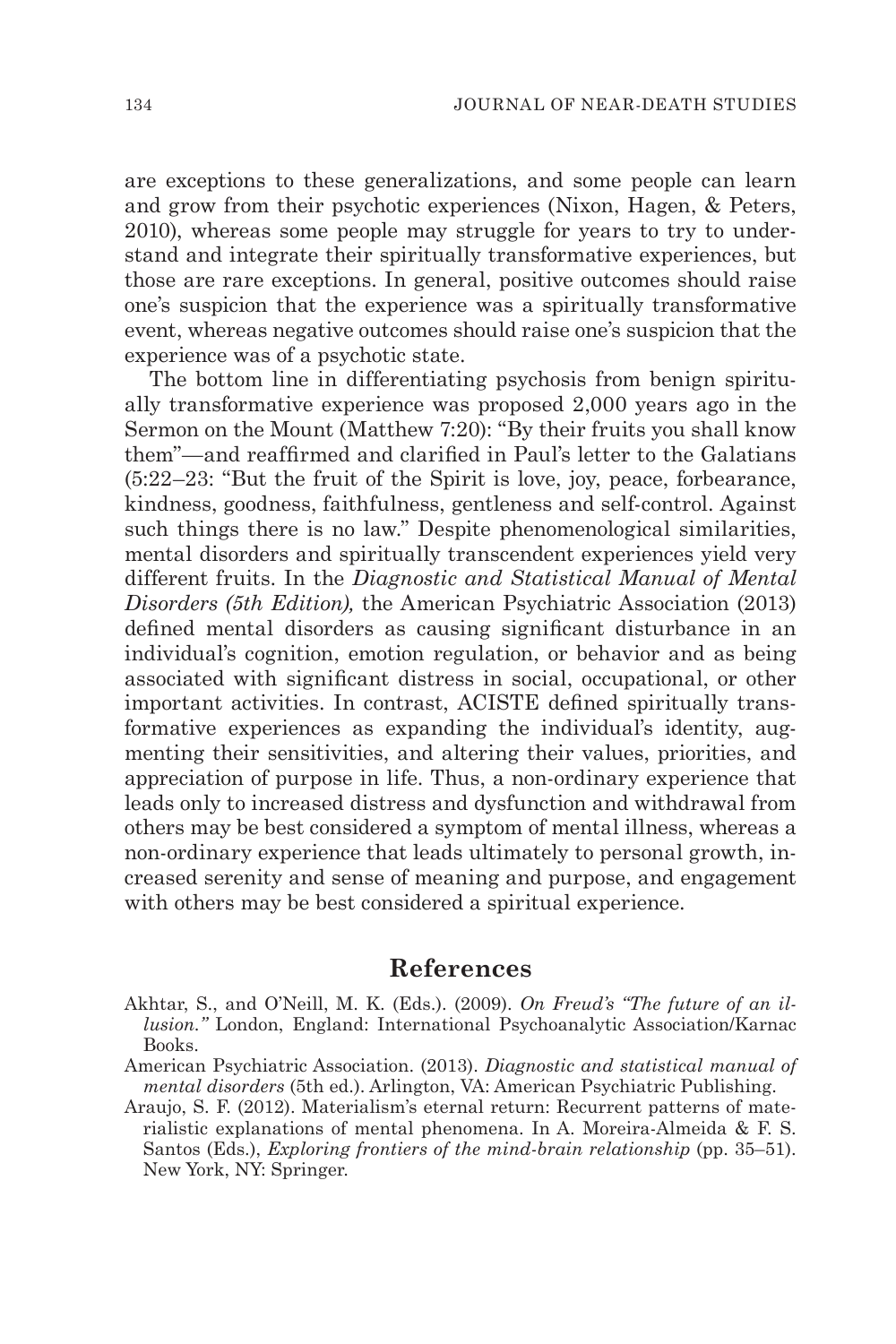are exceptions to these generalizations, and some people can learn and grow from their psychotic experiences (Nixon, Hagen, & Peters, 2010), whereas some people may struggle for years to try to understand and integrate their spiritually transformative experiences, but those are rare exceptions. In general, positive outcomes should raise one's suspicion that the experience was a spiritually transformative event, whereas negative outcomes should raise one's suspicion that the experience was of a psychotic state.

The bottom line in differentiating psychosis from benign spiritually transformative experience was proposed 2,000 years ago in the Sermon on the Mount (Matthew 7:20): "By their fruits you shall know them"—and reaffirmed and clarified in Paul's letter to the Galatians (5:22–23: "But the fruit of the Spirit is love, joy, peace, forbearance, kindness, goodness, faithfulness, gentleness and self-control. Against such things there is no law." Despite phenomenological similarities, mental disorders and spiritually transcendent experiences yield very different fruits. In the *Diagnostic and Statistical Manual of Mental Disorders (5th Edition),* the American Psychiatric Association (2013) defined mental disorders as causing significant disturbance in an individual's cognition, emotion regulation, or behavior and as being associated with significant distress in social, occupational, or other important activities. In contrast, ACISTE defined spiritually transformative experiences as expanding the individual's identity, augmenting their sensitivities, and altering their values, priorities, and appreciation of purpose in life. Thus, a non-ordinary experience that leads only to increased distress and dysfunction and withdrawal from others may be best considered a symptom of mental illness, whereas a non-ordinary experience that leads ultimately to personal growth, increased serenity and sense of meaning and purpose, and engagement with others may be best considered a spiritual experience.

## **References**

- Akhtar, S., and O'Neill, M. K. (Eds.). (2009). *On Freud's "The future of an illusion."* London, England: International Psychoanalytic Association/Karnac Books.
- American Psychiatric Association. (2013). *Diagnostic and statistical manual of mental disorders* (5th ed.). Arlington, VA: American Psychiatric Publishing.
- Araujo, S. F. (2012). Materialism's eternal return: Recurrent patterns of materialistic explanations of mental phenomena. In A. Moreira-Almeida & F. S. Santos (Eds.), *Exploring frontiers of the mind-brain relationship* (pp. 35–51). New York, NY: Springer.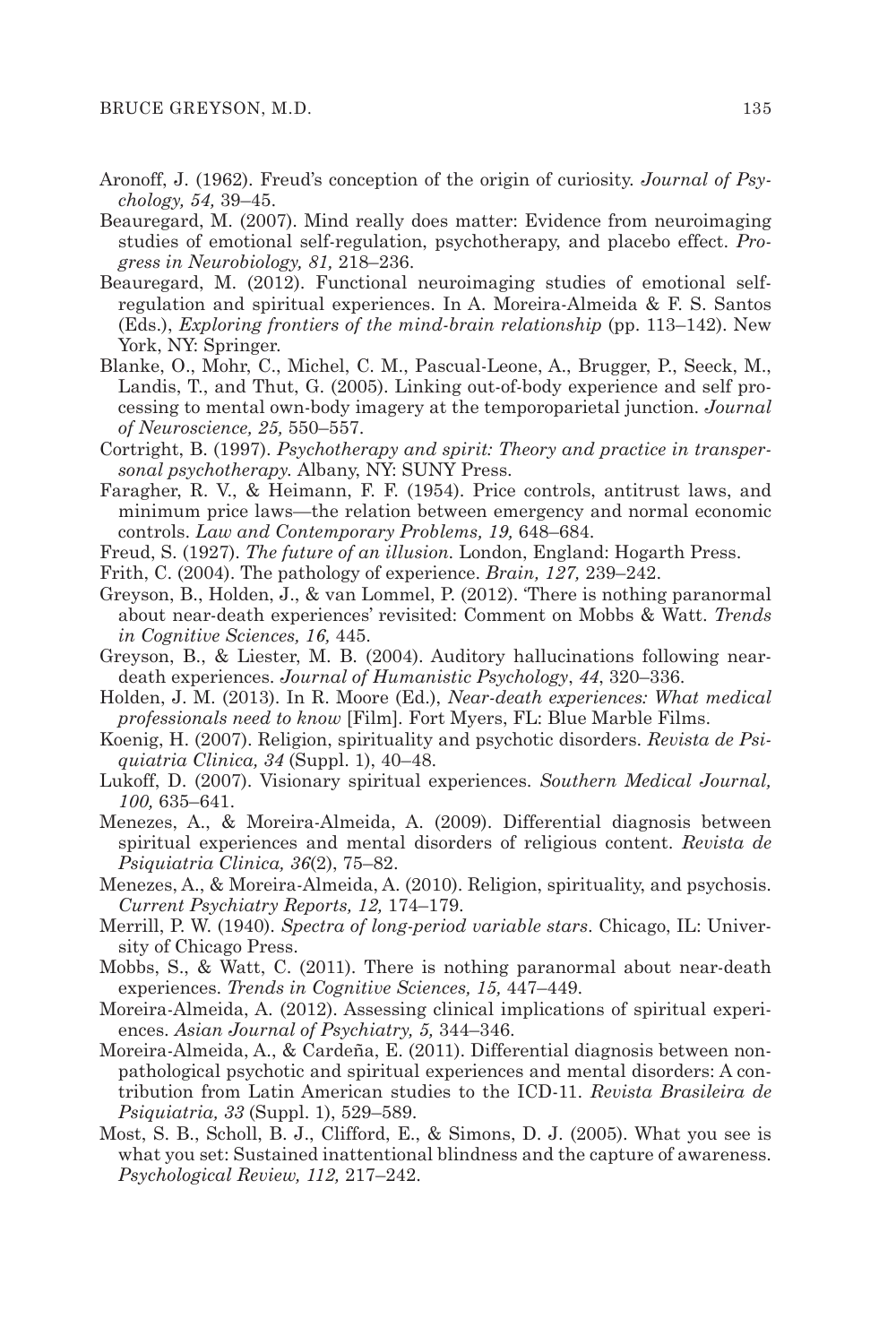- Aronoff, J. (1962). Freud's conception of the origin of curiosity. *Journal of Psychology, 54,* 39–45.
- Beauregard, M. (2007). Mind really does matter: Evidence from neuroimaging studies of emotional self-regulation, psychotherapy, and placebo effect. *Progress in Neurobiology, 81,* 218–236.
- Beauregard, M. (2012). Functional neuroimaging studies of emotional selfregulation and spiritual experiences. In A. Moreira-Almeida & F. S. Santos (Eds.), *Exploring frontiers of the mind-brain relationship* (pp. 113–142). New York, NY: Springer.
- Blanke, O., Mohr, C., Michel, C. M., Pascual-Leone, A., Brugger, P., Seeck, M., Landis, T., and Thut, G. (2005). Linking out-of-body experience and self processing to mental own-body imagery at the temporoparietal junction. *Journal of Neuroscience, 25,* 550–557.
- Cortright, B. (1997). *Psychotherapy and spirit: Theory and practice in transpersonal psychotherapy.* Albany, NY: SUNY Press.
- Faragher, R. V., & Heimann, F. F. (1954). Price controls, antitrust laws, and minimum price laws—the relation between emergency and normal economic controls. *Law and Contemporary Problems, 19,* 648–684.
- Freud, S. (1927). *The future of an illusion.* London, England: Hogarth Press.
- Frith, C. (2004). The pathology of experience. *Brain, 127,* 239–242.
- Greyson, B., Holden, J., & van Lommel, P. (2012). 'There is nothing paranormal about near-death experiences' revisited: Comment on Mobbs & Watt. *Trends in Cognitive Sciences, 16,* 445.
- Greyson, B., & Liester, M. B. (2004). Auditory hallucinations following neardeath experiences. *Journal of Humanistic Psychology*, *44*, 320–336.
- Holden, J. M. (2013). In R. Moore (Ed.), *Near-death experiences: What medical professionals need to know* [Film]*.* Fort Myers, FL: Blue Marble Films.
- Koenig, H. (2007). Religion, spirituality and psychotic disorders. *Revista de Psiquiatria Clinica, 34* (Suppl. 1), 40–48.
- Lukoff, D. (2007). Visionary spiritual experiences. *Southern Medical Journal, 100,* 635–641.
- Menezes, A., & Moreira-Almeida, A. (2009). Differential diagnosis between spiritual experiences and mental disorders of religious content. *Revista de Psiquiatria Clinica, 36*(2), 75–82.
- Menezes, A., & Moreira-Almeida, A. (2010). Religion, spirituality, and psychosis. *Current Psychiatry Reports, 12,* 174–179.
- Merrill, P. W. (1940). *Spectra of long-period variable stars*. Chicago, IL: University of Chicago Press.
- Mobbs, S., & Watt, C. (2011). There is nothing paranormal about near-death experiences. *Trends in Cognitive Sciences, 15,* 447–449.
- Moreira-Almeida, A. (2012). Assessing clinical implications of spiritual experiences. *Asian Journal of Psychiatry, 5,* 344–346.
- Moreira-Almeida, A., & Cardeña, E. (2011). Differential diagnosis between nonpathological psychotic and spiritual experiences and mental disorders: A contribution from Latin American studies to the ICD-11. *Revista Brasileira de Psiquiatria, 33* (Suppl. 1), 529–589.
- Most, S. B., Scholl, B. J., Clifford, E., & Simons, D. J. (2005). What you see is what you set: Sustained inattentional blindness and the capture of awareness. *Psychological Review, 112,* 217–242.